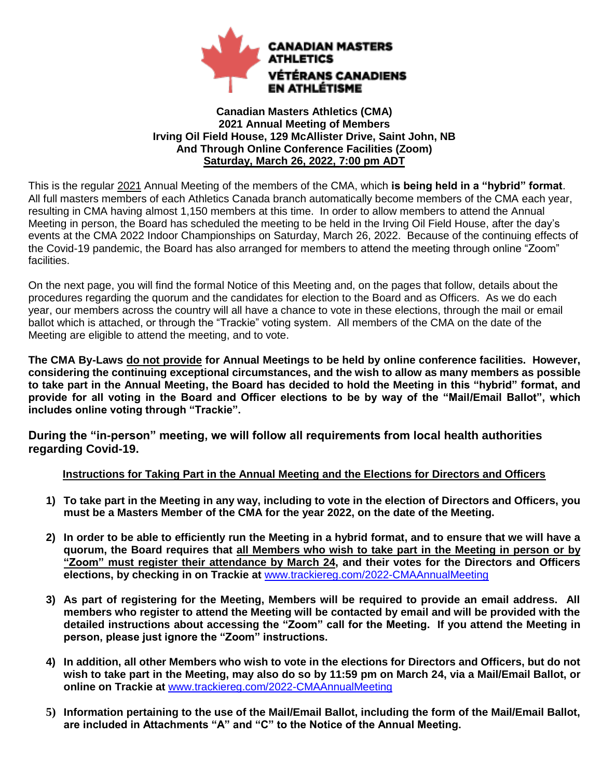

#### **Canadian Masters Athletics (CMA) 2021 Annual Meeting of Members Irving Oil Field House, 129 McAllister Drive, Saint John, NB And Through Online Conference Facilities (Zoom) Saturday, March 26, 2022, 7:00 pm ADT**

This is the regular 2021 Annual Meeting of the members of the CMA, which **is being held in a "hybrid" format**. All full masters members of each Athletics Canada branch automatically become members of the CMA each year, resulting in CMA having almost 1,150 members at this time. In order to allow members to attend the Annual Meeting in person, the Board has scheduled the meeting to be held in the Irving Oil Field House, after the day's events at the CMA 2022 Indoor Championships on Saturday, March 26, 2022. Because of the continuing effects of the Covid-19 pandemic, the Board has also arranged for members to attend the meeting through online "Zoom" facilities.

On the next page, you will find the formal Notice of this Meeting and, on the pages that follow, details about the procedures regarding the quorum and the candidates for election to the Board and as Officers. As we do each year, our members across the country will all have a chance to vote in these elections, through the mail or email ballot which is attached, or through the "Trackie" voting system. All members of the CMA on the date of the Meeting are eligible to attend the meeting, and to vote.

**The CMA By-Laws do not provide for Annual Meetings to be held by online conference facilities. However, considering the continuing exceptional circumstances, and the wish to allow as many members as possible to take part in the Annual Meeting, the Board has decided to hold the Meeting in this "hybrid" format, and provide for all voting in the Board and Officer elections to be by way of the "Mail/Email Ballot", which includes online voting through "Trackie".** 

**During the "in-person" meeting, we will follow all requirements from local health authorities regarding Covid-19.**

## **Instructions for Taking Part in the Annual Meeting and the Elections for Directors and Officers**

- **1) To take part in the Meeting in any way, including to vote in the election of Directors and Officers, you must be a Masters Member of the CMA for the year 2022, on the date of the Meeting.**
- **2) In order to be able to efficiently run the Meeting in a hybrid format, and to ensure that we will have a quorum, the Board requires that all Members who wish to take part in the Meeting in person or by "Zoom" must register their attendance by March 24, and their votes for the Directors and Officers elections, by checking in on Trackie at** [www.trackiereg.com/2022-CMAAnnualMeeting](http://www.trackiereg.com/2022-CMAAnnualMeeting)
- **3) As part of registering for the Meeting, Members will be required to provide an email address. All members who register to attend the Meeting will be contacted by email and will be provided with the detailed instructions about accessing the "Zoom" call for the Meeting. If you attend the Meeting in person, please just ignore the "Zoom" instructions.**
- **4) In addition, all other Members who wish to vote in the elections for Directors and Officers, but do not wish to take part in the Meeting, may also do so by 11:59 pm on March 24, via a Mail/Email Ballot, or online on Trackie at** [www.trackiereg.com/2022-CMAAnnualMeeting](http://www.trackiereg.com/2022-CMAAnnualMeeting)
- **5) Information pertaining to the use of the Mail/Email Ballot, including the form of the Mail/Email Ballot, are included in Attachments "A" and "C" to the Notice of the Annual Meeting.**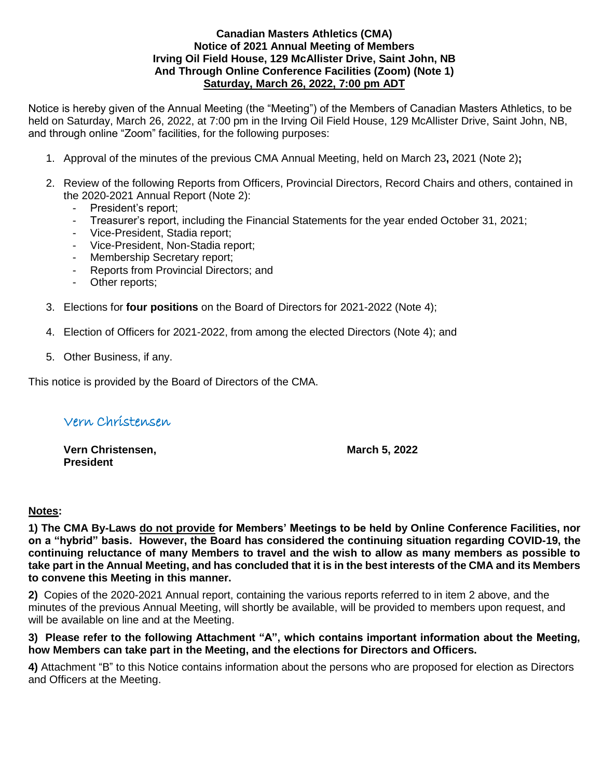#### **Canadian Masters Athletics (CMA) Notice of 2021 Annual Meeting of Members Irving Oil Field House, 129 McAllister Drive, Saint John, NB And Through Online Conference Facilities (Zoom) (Note 1) Saturday, March 26, 2022, 7:00 pm ADT**

Notice is hereby given of the Annual Meeting (the "Meeting") of the Members of Canadian Masters Athletics, to be held on Saturday, March 26, 2022, at 7:00 pm in the Irving Oil Field House, 129 McAllister Drive, Saint John, NB, and through online "Zoom" facilities, for the following purposes:

- 1. Approval of the minutes of the previous CMA Annual Meeting, held on March 23**,** 2021 (Note 2)**;**
- 2. Review of the following Reports from Officers, Provincial Directors, Record Chairs and others, contained in the 2020-2021 Annual Report (Note 2):
	- President's report;
	- Treasurer's report, including the Financial Statements for the year ended October 31, 2021;
	- Vice-President, Stadia report;
	- Vice-President, Non-Stadia report;
	- Membership Secretary report;
	- Reports from Provincial Directors; and
	- Other reports;
- 3. Elections for **four positions** on the Board of Directors for 2021-2022 (Note 4);
- 4. Election of Officers for 2021-2022, from among the elected Directors (Note 4); and
- 5. Other Business, if any.

This notice is provided by the Board of Directors of the CMA.

# Vern Christensen

**Vern Christensen, The Contract of the UK and March 5, 2022 President**

#### **Notes:**

**1) The CMA By-Laws do not provide for Members' Meetings to be held by Online Conference Facilities, nor on a "hybrid" basis. However, the Board has considered the continuing situation regarding COVID-19, the continuing reluctance of many Members to travel and the wish to allow as many members as possible to take part in the Annual Meeting, and has concluded that it is in the best interests of the CMA and its Members to convene this Meeting in this manner.** 

**2)** Copies of the 2020-2021 Annual report, containing the various reports referred to in item 2 above, and the minutes of the previous Annual Meeting, will shortly be available, will be provided to members upon request, and will be available on line and at the Meeting.

**3) Please refer to the following Attachment "A", which contains important information about the Meeting, how Members can take part in the Meeting, and the elections for Directors and Officers.** 

**4)** Attachment "B" to this Notice contains information about the persons who are proposed for election as Directors and Officers at the Meeting.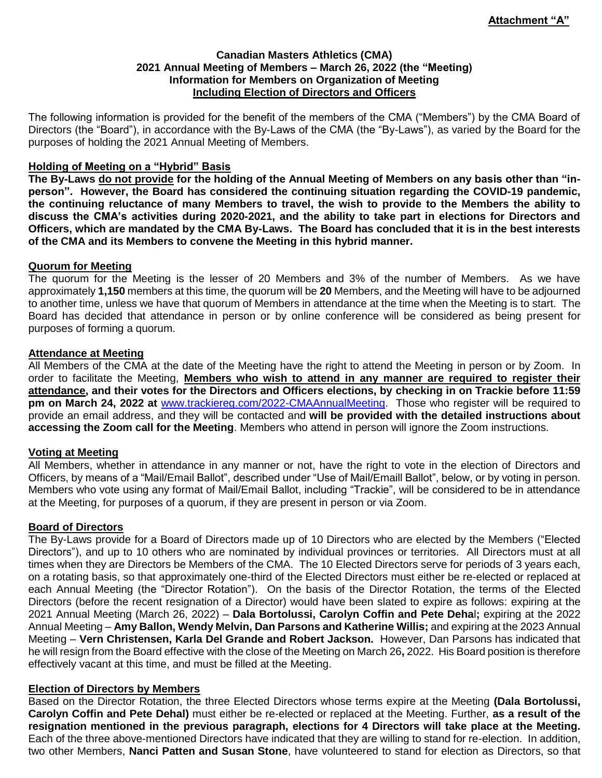#### **Canadian Masters Athletics (CMA) 2021 Annual Meeting of Members – March 26, 2022 (the "Meeting) Information for Members on Organization of Meeting Including Election of Directors and Officers**

The following information is provided for the benefit of the members of the CMA ("Members") by the CMA Board of Directors (the "Board"), in accordance with the By-Laws of the CMA (the "By-Laws"), as varied by the Board for the purposes of holding the 2021 Annual Meeting of Members.

#### **Holding of Meeting on a "Hybrid" Basis**

**The By-Laws do not provide for the holding of the Annual Meeting of Members on any basis other than "inperson". However, the Board has considered the continuing situation regarding the COVID-19 pandemic, the continuing reluctance of many Members to travel, the wish to provide to the Members the ability to discuss the CMA's activities during 2020-2021, and the ability to take part in elections for Directors and Officers, which are mandated by the CMA By-Laws. The Board has concluded that it is in the best interests of the CMA and its Members to convene the Meeting in this hybrid manner.**

#### **Quorum for Meeting**

The quorum for the Meeting is the lesser of 20 Members and 3% of the number of Members. As we have approximately **1,150** members at this time, the quorum will be **20** Members, and the Meeting will have to be adjourned to another time, unless we have that quorum of Members in attendance at the time when the Meeting is to start. The Board has decided that attendance in person or by online conference will be considered as being present for purposes of forming a quorum.

#### **Attendance at Meeting**

All Members of the CMA at the date of the Meeting have the right to attend the Meeting in person or by Zoom. In order to facilitate the Meeting, **Members who wish to attend in any manner are required to register their attendance, and their votes for the Directors and Officers elections, by checking in on Trackie before 11:59 pm on March 24, 2022 at** [www.trackiereg.com/2022-CMAAnnualMeeting.](http://www.trackiereg.com/2022-CMAAnnualMeeting) Those who register will be required to provide an email address, and they will be contacted and **will be provided with the detailed instructions about accessing the Zoom call for the Meeting**. Members who attend in person will ignore the Zoom instructions.

#### **Voting at Meeting**

All Members, whether in attendance in any manner or not, have the right to vote in the election of Directors and Officers, by means of a "Mail/Email Ballot", described under "Use of Mail/Emaill Ballot", below, or by voting in person. Members who vote using any format of Mail/Email Ballot, including "Trackie", will be considered to be in attendance at the Meeting, for purposes of a quorum, if they are present in person or via Zoom.

#### **Board of Directors**

The By-Laws provide for a Board of Directors made up of 10 Directors who are elected by the Members ("Elected Directors"), and up to 10 others who are nominated by individual provinces or territories. All Directors must at all times when they are Directors be Members of the CMA. The 10 Elected Directors serve for periods of 3 years each, on a rotating basis, so that approximately one-third of the Elected Directors must either be re-elected or replaced at each Annual Meeting (the "Director Rotation"). On the basis of the Director Rotation, the terms of the Elected Directors (before the recent resignation of a Director) would have been slated to expire as follows: expiring at the 2021 Annual Meeting (March 26, 2022) – **Dala Bortolussi, Carolyn Coffin and Pete Deha**l**;** expiring at the 2022 Annual Meeting – **Amy Ballon, Wendy Melvin, Dan Parsons and Katherine Willis;** and expiring at the 2023 Annual Meeting – **Vern Christensen, Karla Del Grande and Robert Jackson.** However, Dan Parsons has indicated that he will resign from the Board effective with the close of the Meeting on March 26**,** 2022.His Board position is therefore effectively vacant at this time, and must be filled at the Meeting.

#### **Election of Directors by Members**

Based on the Director Rotation, the three Elected Directors whose terms expire at the Meeting **(Dala Bortolussi, Carolyn Coffin and Pete Dehal)** must either be re-elected or replaced at the Meeting. Further, **as a result of the resignation mentioned in the previous paragraph, elections for 4 Directors will take place at the Meeting.** Each of the three above-mentioned Directors have indicated that they are willing to stand for re-election. In addition, two other Members, **Nanci Patten and Susan Stone**, have volunteered to stand for election as Directors, so that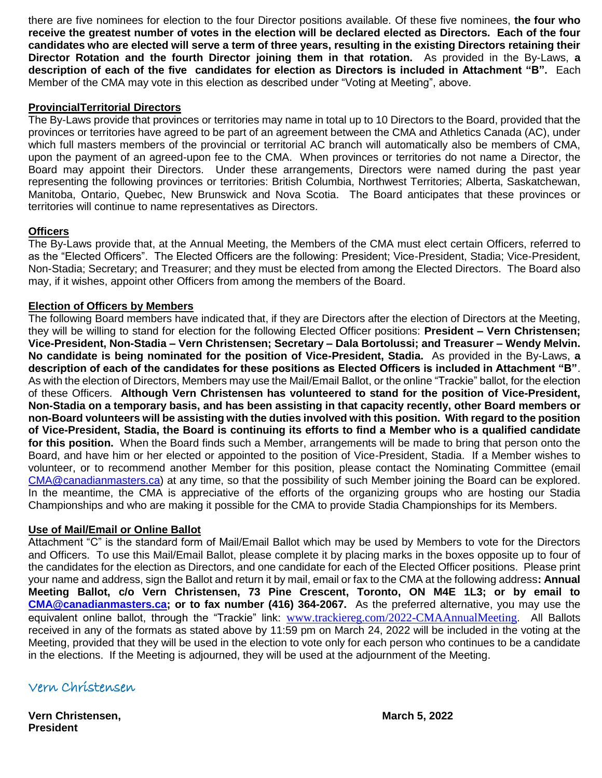there are five nominees for election to the four Director positions available. Of these five nominees, **the four who receive the greatest number of votes in the election will be declared elected as Directors. Each of the four candidates who are elected will serve a term of three years, resulting in the existing Directors retaining their Director Rotation and the fourth Director joining them in that rotation.** As provided in the By-Laws, **a description of each of the five candidates for election as Directors is included in Attachment "B".** Each Member of the CMA may vote in this election as described under "Voting at Meeting", above.

#### **ProvincialTerritorial Directors**

The By-Laws provide that provinces or territories may name in total up to 10 Directors to the Board, provided that the provinces or territories have agreed to be part of an agreement between the CMA and Athletics Canada (AC), under which full masters members of the provincial or territorial AC branch will automatically also be members of CMA, upon the payment of an agreed-upon fee to the CMA. When provinces or territories do not name a Director, the Board may appoint their Directors. Under these arrangements, Directors were named during the past year representing the following provinces or territories: British Columbia, Northwest Territories; Alberta, Saskatchewan, Manitoba, Ontario, Quebec, New Brunswick and Nova Scotia. The Board anticipates that these provinces or territories will continue to name representatives as Directors.

## **Officers**

The By-Laws provide that, at the Annual Meeting, the Members of the CMA must elect certain Officers, referred to as the "Elected Officers". The Elected Officers are the following: President; Vice-President, Stadia; Vice-President, Non-Stadia; Secretary; and Treasurer; and they must be elected from among the Elected Directors. The Board also may, if it wishes, appoint other Officers from among the members of the Board.

## **Election of Officers by Members**

The following Board members have indicated that, if they are Directors after the election of Directors at the Meeting, they will be willing to stand for election for the following Elected Officer positions: **President – Vern Christensen; Vice-President, Non-Stadia – Vern Christensen; Secretary – Dala Bortolussi; and Treasurer – Wendy Melvin. No candidate is being nominated for the position of Vice-President, Stadia.** As provided in the By-Laws, **a description of each of the candidates for these positions as Elected Officers is included in Attachment "B"**. As with the election of Directors, Members may use the Mail/Email Ballot, or the online "Trackie" ballot, for the election of these Officers. **Although Vern Christensen has volunteered to stand for the position of Vice-President, Non-Stadia on a temporary basis, and has been assisting in that capacity recently, other Board members or non-Board volunteers will be assisting with the duties involved with this position. With regard to the position of Vice-President, Stadia, the Board is continuing its efforts to find a Member who is a qualified candidate for this position.** When the Board finds such a Member, arrangements will be made to bring that person onto the Board, and have him or her elected or appointed to the position of Vice-President, Stadia. If a Member wishes to volunteer, or to recommend another Member for this position, please contact the Nominating Committee (email [CMA@canadianmasters.ca\)](mailto:CMA@canadianmasters.ca) at any time, so that the possibility of such Member joining the Board can be explored. In the meantime, the CMA is appreciative of the efforts of the organizing groups who are hosting our Stadia Championships and who are making it possible for the CMA to provide Stadia Championships for its Members.

## **Use of Mail/Email or Online Ballot**

Attachment "C" is the standard form of Mail/Email Ballot which may be used by Members to vote for the Directors and Officers. To use this Mail/Email Ballot, please complete it by placing marks in the boxes opposite up to four of the candidates for the election as Directors, and one candidate for each of the Elected Officer positions. Please print your name and address, sign the Ballot and return it by mail, email or fax to the CMA at the following address**: Annual Meeting Ballot, c/o Vern Christensen, 73 Pine Crescent, Toronto, ON M4E 1L3; or by email to [CMA@canadianmasters.ca;](mailto:CMA@canadianmasters.ca) or to fax number (416) 364-2067.** As the preferred alternative, you may use the equivalent online ballot, through the "Trackie" link: [www.trackiereg.com/2022-CMAAnnualMeeting](http://www.trackiereg.com/2022-CMAAnnualMeeting). All Ballots received in any of the formats as stated above by 11:59 pm on March 24, 2022 will be included in the voting at the Meeting, provided that they will be used in the election to vote only for each person who continues to be a candidate in the elections. If the Meeting is adjourned, they will be used at the adjournment of the Meeting.

Vern Christensen

**Vern Christensen, March 5, 2022 President**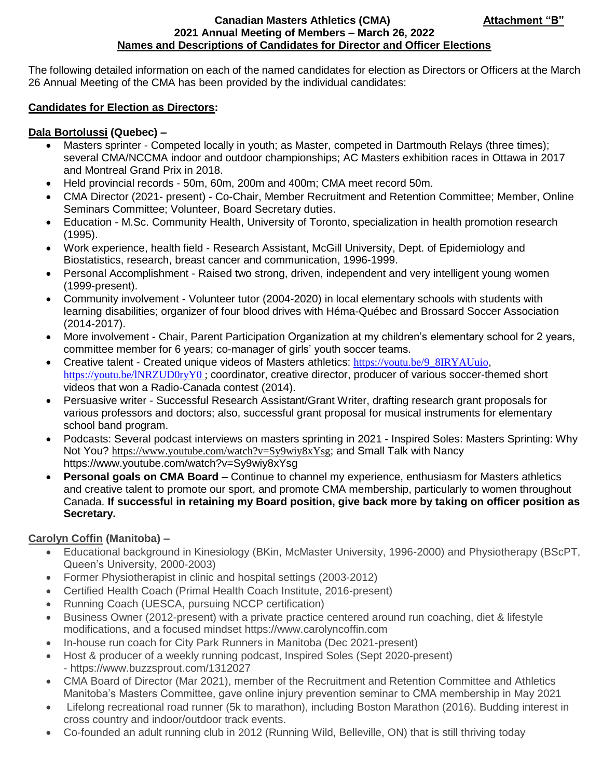#### **Canadian Masters Athletics (CMA) Canadian Masters Athletics (CMA) 2021 Annual Meeting of Members – March 26, 2022 Names and Descriptions of Candidates for Director and Officer Elections**

The following detailed information on each of the named candidates for election as Directors or Officers at the March 26 Annual Meeting of the CMA has been provided by the individual candidates:

## **Candidates for Election as Directors:**

## **Dala Bortolussi (Quebec) –**

- Masters sprinter Competed locally in youth; as Master, competed in Dartmouth Relays (three times); several CMA/NCCMA indoor and outdoor championships; AC Masters exhibition races in Ottawa in 2017 and Montreal Grand Prix in 2018.
- Held provincial records 50m, 60m, 200m and 400m; CMA meet record 50m.
- CMA Director (2021- present) Co-Chair, Member Recruitment and Retention Committee; Member, Online Seminars Committee; Volunteer, Board Secretary duties.
- Education M.Sc. Community Health, University of Toronto, specialization in health promotion research (1995).
- Work experience, health field Research Assistant, McGill University, Dept. of Epidemiology and Biostatistics, research, breast cancer and communication, 1996-1999.
- Personal Accomplishment Raised two strong, driven, independent and very intelligent young women (1999-present).
- Community involvement Volunteer tutor (2004-2020) in local elementary schools with students with learning disabilities; organizer of four blood drives with Héma-Québec and Brossard Soccer Association (2014-2017).
- More involvement Chair, Parent Participation Organization at my children's elementary school for 2 years, committee member for 6 years; co-manager of girls' youth soccer teams.
- Creative talent Created unique videos of Masters athletics: [https://youtu.be/9\\_8IRYAUuio](https://youtu.be/9_8IRYAUuio), <https://youtu.be/lNRZUD0ryY0> ; coordinator, creative director, producer of various soccer-themed short videos that won a Radio-Canada contest (2014).
- Persuasive writer Successful Research Assistant/Grant Writer, drafting research grant proposals for various professors and doctors; also, successful grant proposal for musical instruments for elementary school band program.
- Podcasts: Several podcast interviews on masters sprinting in 2021 Inspired Soles: Masters Sprinting: Why Not You? <https://www.youtube.com/watch?v=Sy9wiy8xYsg>; and Small Talk with Nancy https://www.youtube.com/watch?v=Sy9wiy8xYsg
- **Personal goals on CMA Board** Continue to channel my experience, enthusiasm for Masters athletics and creative talent to promote our sport, and promote CMA membership, particularly to women throughout Canada. **If successful in retaining my Board position, give back more by taking on officer position as Secretary.**

## **Carolyn Coffin (Manitoba) –**

- Educational background in Kinesiology (BKin, McMaster University, 1996-2000) and Physiotherapy (BScPT, Queen's University, 2000-2003)
- Former Physiotherapist in clinic and hospital settings (2003-2012)
- Certified Health Coach (Primal Health Coach Institute, 2016-present)
- Running Coach (UESCA, pursuing NCCP certification)
- Business Owner (2012-present) with a private practice centered around run coaching, diet & lifestyle modifications, and a focused mindset [https://www.carolyncoffin.com](https://www.carolyncoffin.com/)
- In-house run coach for City Park Runners in Manitoba (Dec 2021-present)
- Host & producer of a weekly running podcast, Inspired Soles (Sept 2020-present) - <https://www.buzzsprout.com/1312027>
- CMA Board of Director (Mar 2021), member of the Recruitment and Retention Committee and Athletics Manitoba's Masters Committee, gave online injury prevention seminar to CMA membership in May 2021
- Lifelong recreational road runner (5k to marathon), including Boston Marathon (2016). Budding interest in cross country and indoor/outdoor track events.
- Co-founded an adult running club in 2012 (Running Wild, Belleville, ON) that is still thriving today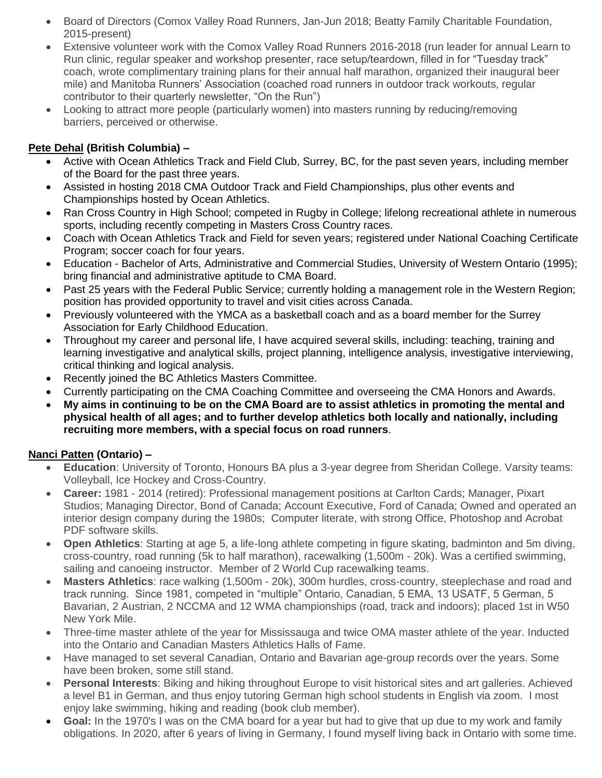- Board of Directors (Comox Valley Road Runners, Jan-Jun 2018; Beatty Family Charitable Foundation, 2015-present)
- Extensive volunteer work with the Comox Valley Road Runners 2016-2018 (run leader for annual Learn to Run clinic, regular speaker and workshop presenter, race setup/teardown, filled in for "Tuesday track" coach, wrote complimentary training plans for their annual half marathon, organized their inaugural beer mile) and Manitoba Runners' Association (coached road runners in outdoor track workouts, regular contributor to their quarterly newsletter, "On the Run")
- Looking to attract more people (particularly women) into masters running by reducing/removing barriers, perceived or otherwise.

# **Pete Dehal (British Columbia) –**

- Active with Ocean Athletics Track and Field Club, Surrey, BC, for the past seven years, including member of the Board for the past three years.
- Assisted in hosting 2018 CMA Outdoor Track and Field Championships, plus other events and Championships hosted by Ocean Athletics.
- Ran Cross Country in High School: competed in Rugby in College; lifelong recreational athlete in numerous sports, including recently competing in Masters Cross Country races.
- Coach with Ocean Athletics Track and Field for seven years; registered under National Coaching Certificate Program; soccer coach for four years.
- Education Bachelor of Arts, Administrative and Commercial Studies, University of Western Ontario (1995); bring financial and administrative aptitude to CMA Board.
- Past 25 years with the Federal Public Service; currently holding a management role in the Western Region; position has provided opportunity to travel and visit cities across Canada.
- Previously volunteered with the YMCA as a basketball coach and as a board member for the Surrey Association for Early Childhood Education.
- Throughout my career and personal life, I have acquired several skills, including: teaching, training and learning investigative and analytical skills, project planning, intelligence analysis, investigative interviewing, critical thinking and logical analysis.
- Recently joined the BC Athletics Masters Committee.
- Currently participating on the CMA Coaching Committee and overseeing the CMA Honors and Awards.
- **My aims in continuing to be on the CMA Board are to assist athletics in promoting the mental and physical health of all ages; and to further develop athletics both locally and nationally, including recruiting more members, with a special focus on road runners**.

## **Nanci Patten (Ontario) –**

- **Education**: University of Toronto, Honours BA plus a 3-year degree from Sheridan College. Varsity teams: Volleyball, Ice Hockey and Cross-Country.
- **Career:** 1981 2014 (retired): Professional management positions at Carlton Cards; Manager, Pixart Studios; Managing Director, Bond of Canada; Account Executive, Ford of Canada; Owned and operated an interior design company during the 1980s; Computer literate, with strong Office, Photoshop and Acrobat PDF software skills.
- **Open Athletics**: Starting at age 5, a life-long athlete competing in figure skating, badminton and 5m diving, cross-country, road running (5k to half marathon), racewalking (1,500m - 20k). Was a certified swimming, sailing and canoeing instructor. Member of 2 World Cup racewalking teams.
- **Masters Athletics**: race walking (1,500m 20k), 300m hurdles, cross-country, steeplechase and road and track running. Since 1981, competed in "multiple" Ontario, Canadian, 5 EMA, 13 USATF, 5 German, 5 Bavarian, 2 Austrian, 2 NCCMA and 12 WMA championships (road, track and indoors); placed 1st in W50 New York Mile.
- Three-time master athlete of the year for Mississauga and twice OMA master athlete of the year. Inducted into the Ontario and Canadian Masters Athletics Halls of Fame.
- Have managed to set several Canadian, Ontario and Bavarian age-group records over the years. Some have been broken, some still stand.
- **Personal Interests**: Biking and hiking throughout Europe to visit historical sites and art galleries. Achieved a level B1 in German, and thus enjoy tutoring German high school students in English via zoom. I most enjoy lake swimming, hiking and reading (book club member).
- **Goal:** In the 1970's I was on the CMA board for a year but had to give that up due to my work and family obligations. In 2020, after 6 years of living in Germany, I found myself living back in Ontario with some time.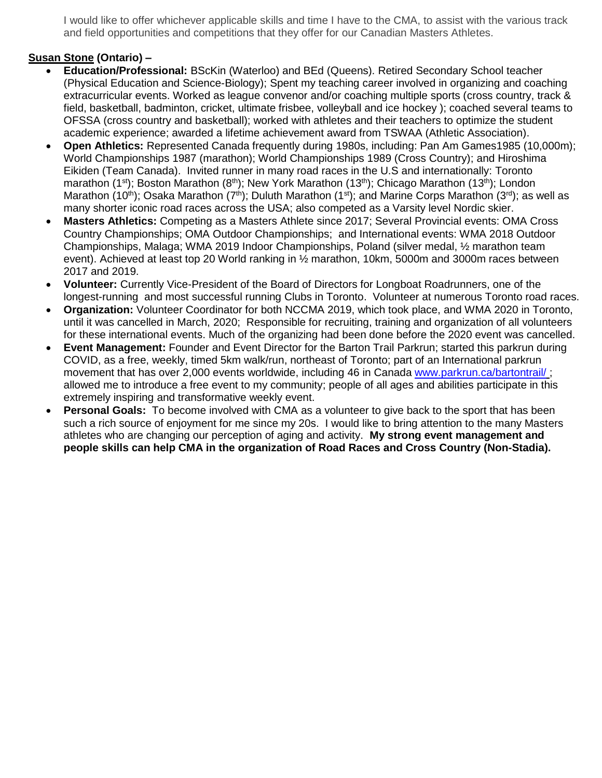I would like to offer whichever applicable skills and time I have to the CMA, to assist with the various track and field opportunities and competitions that they offer for our Canadian Masters Athletes.

## **Susan Stone (Ontario) –**

- **Education/Professional:** BScKin (Waterloo) and BEd (Queens). Retired Secondary School teacher (Physical Education and Science-Biology); Spent my teaching career involved in organizing and coaching extracurricular events. Worked as league convenor and/or coaching multiple sports (cross country, track & field, basketball, badminton, cricket, ultimate frisbee, volleyball and ice hockey ); coached several teams to OFSSA (cross country and basketball); worked with athletes and their teachers to optimize the student academic experience; awarded a lifetime achievement award from TSWAA (Athletic Association).
- **Open Athletics:** Represented Canada frequently during 1980s, including: Pan Am Games1985 (10,000m); World Championships 1987 (marathon); World Championships 1989 (Cross Country); and Hiroshima Eikiden (Team Canada). Invited runner in many road races in the U.S and internationally: Toronto marathon (1<sup>st</sup>); Boston Marathon (8<sup>th</sup>); New York Marathon (13<sup>th</sup>); Chicago Marathon (13<sup>th</sup>); London Marathon (10<sup>th</sup>); Osaka Marathon (7<sup>th</sup>); Duluth Marathon (1<sup>st</sup>); and Marine Corps Marathon (3<sup>rd</sup>); as well as many shorter iconic road races across the USA; also competed as a Varsity level Nordic skier.
- **Masters Athletics:** Competing as a Masters Athlete since 2017; Several Provincial events: OMA Cross Country Championships; OMA Outdoor Championships; and International events: WMA 2018 Outdoor Championships, Malaga; WMA 2019 Indoor Championships, Poland (silver medal, ½ marathon team event). Achieved at least top 20 World ranking in ½ marathon, 10km, 5000m and 3000m races between 2017 and 2019.
- **Volunteer:** Currently Vice-President of the Board of Directors for Longboat Roadrunners, one of the longest-running and most successful running Clubs in Toronto. Volunteer at numerous Toronto road races.
- **Organization:** Volunteer Coordinator for both NCCMA 2019, which took place, and WMA 2020 in Toronto, until it was cancelled in March, 2020; Responsible for recruiting, training and organization of all volunteers for these international events. Much of the organizing had been done before the 2020 event was cancelled.
- **Event Management:** Founder and Event Director for the Barton Trail Parkrun; started this parkrun during COVID, as a free, weekly, timed 5km walk/run, northeast of Toronto; part of an International parkrun movement that has over 2,000 events worldwide, including 46 in Canada [www.parkrun.ca/bartontrail/](http://www.parkrun.ca/bartontrail/); allowed me to introduce a free event to my community; people of all ages and abilities participate in this extremely inspiring and transformative weekly event.
- **Personal Goals:** To become involved with CMA as a volunteer to give back to the sport that has been such a rich source of enjoyment for me since my 20s. I would like to bring attention to the many Masters athletes who are changing our perception of aging and activity. **My strong event management and people skills can help CMA in the organization of Road Races and Cross Country (Non-Stadia).**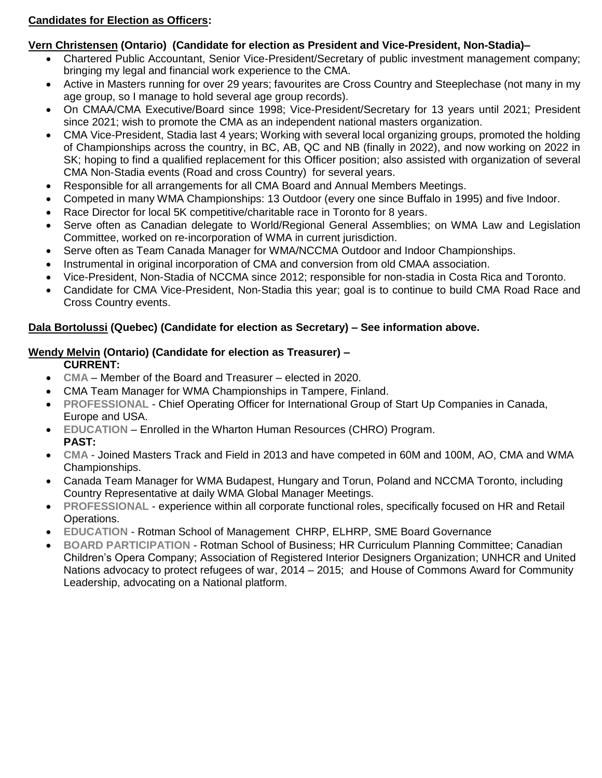# **Candidates for Election as Officers:**

# **Vern Christensen (Ontario) (Candidate for election as President and Vice-President, Non-Stadia)–**

- Chartered Public Accountant, Senior Vice-President/Secretary of public investment management company; bringing my legal and financial work experience to the CMA.
- Active in Masters running for over 29 years; favourites are Cross Country and Steeplechase (not many in my age group, so I manage to hold several age group records).
- On CMAA/CMA Executive/Board since 1998; Vice-President/Secretary for 13 years until 2021; President since 2021; wish to promote the CMA as an independent national masters organization.
- CMA Vice-President, Stadia last 4 years; Working with several local organizing groups, promoted the holding of Championships across the country, in BC, AB, QC and NB (finally in 2022), and now working on 2022 in SK; hoping to find a qualified replacement for this Officer position; also assisted with organization of several CMA Non-Stadia events (Road and cross Country) for several years.
- Responsible for all arrangements for all CMA Board and Annual Members Meetings.
- Competed in many WMA Championships: 13 Outdoor (every one since Buffalo in 1995) and five Indoor.
- Race Director for local 5K competitive/charitable race in Toronto for 8 years.
- Serve often as Canadian delegate to World/Regional General Assemblies; on WMA Law and Legislation Committee, worked on re-incorporation of WMA in current jurisdiction.
- Serve often as Team Canada Manager for WMA/NCCMA Outdoor and Indoor Championships.
- Instrumental in original incorporation of CMA and conversion from old CMAA association.
- Vice-President, Non-Stadia of NCCMA since 2012; responsible for non-stadia in Costa Rica and Toronto.
- Candidate for CMA Vice-President, Non-Stadia this year; goal is to continue to build CMA Road Race and Cross Country events.

# **Dala Bortolussi (Quebec) (Candidate for election as Secretary) – See information above.**

# **Wendy Melvin (Ontario) (Candidate for election as Treasurer) –**

**CURRENT:**

- **CMA** Member of the Board and Treasurer elected in 2020.
- CMA Team Manager for WMA Championships in Tampere, Finland.
- **PROFESSIONAL** Chief Operating Officer for International Group of Start Up Companies in Canada, Europe and USA.
- **EDUCATION** Enrolled in the Wharton Human Resources (CHRO) Program. **PAST:**
- **CMA** Joined Masters Track and Field in 2013 and have competed in 60M and 100M, AO, CMA and WMA Championships.
- Canada Team Manager for WMA Budapest, Hungary and Torun, Poland and NCCMA Toronto, including Country Representative at daily WMA Global Manager Meetings.
- **PROFESSIONAL** experience within all corporate functional roles, specifically focused on HR and Retail Operations.
- **EDUCATION**  Rotman School of Management CHRP, ELHRP, SME Board Governance
- **BOARD PARTICIPATION** Rotman School of Business; HR Curriculum Planning Committee; Canadian Children's Opera Company; Association of Registered Interior Designers Organization; UNHCR and United Nations advocacy to protect refugees of war, 2014 – 2015; and House of Commons Award for Community Leadership, advocating on a National platform.